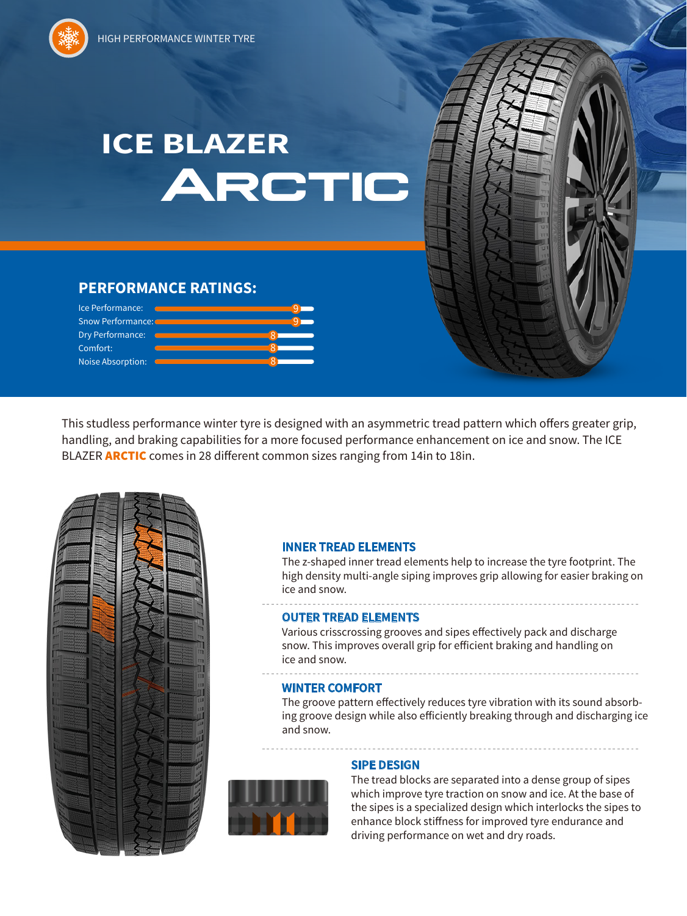# **Arctic ICE BLAZER**

## **PERFORMANCE RATINGS:**

| Ice Performance:         |  |
|--------------------------|--|
| <b>Snow Performance:</b> |  |
| Dry Performance:         |  |
| Comfort:                 |  |
| <b>Noise Absorption:</b> |  |

This studless performance winter tyre is designed with an asymmetric tread pattern which offers greater grip, handling, and braking capabilities for a more focused performance enhancement on ice and snow. The ICE BLAZER **ARCTIC** comes in 28 different common sizes ranging from 14in to 18in.



#### **INNER TREAD ELEMENTS**

The z-shaped inner tread elements help to increase the tyre footprint. The high density multi-angle siping improves grip allowing for easier braking on ice and snow.

#### **OUTER TREAD ELEMENTS**

Various crisscrossing grooves and sipes effectively pack and discharge snow. This improves overall grip for efficient braking and handling on ice and snow.

#### **WINTER COMFORT**

The groove pattern effectively reduces tyre vibration with its sound absorbing groove design while also efficiently breaking through and discharging ice and snow.



### **SIPE DESIGN**

The tread blocks are separated into a dense group of sipes which improve tyre traction on snow and ice. At the base of the sipes is a specialized design which interlocks the sipes to enhance block stiffness for improved tyre endurance and driving performance on wet and dry roads.